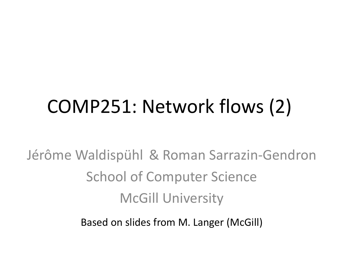# COMP251: Network flows (2)

Jérôme Waldispühl & Roman Sarrazin-Gendron School of Computer Science McGill University

Based on slides from M. Langer (McGill)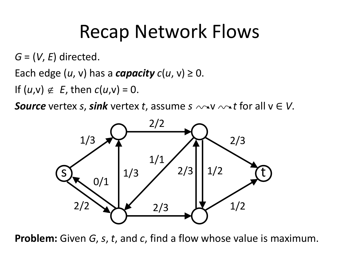## Recap Network Flows

*G* = (*V*, *E*) directed.

Each edge  $(u, v)$  has a *capacity*  $c(u, v) \ge 0$ .

If  $(u,v) \notin E$ , then  $c(u,v) = 0$ .

*Source* vertex *s*, *sink* vertex *t*, assume  $s \sim v \sim t$  for all  $v \in V$ .



**Problem:** Given *G*, *s*, *t*, and *c*, find a flow whose value is maximum.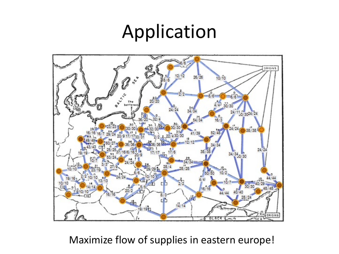#### Application



Maximize flow of supplies in eastern europe!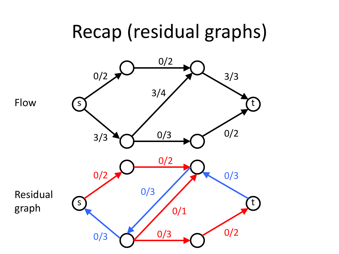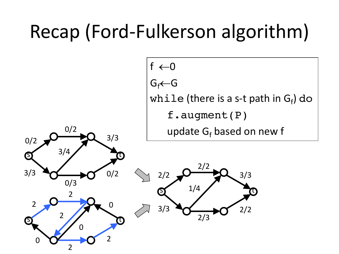# Recap (Ford-Fulkerson algorithm)



2/3



s

3/3

0/2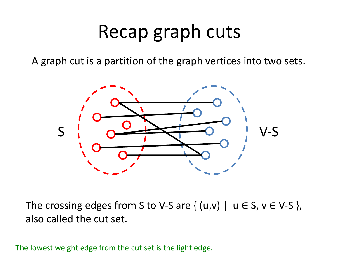#### Recap graph cuts

A graph cut is a partition of the graph vertices into two sets.



The crossing edges from S to V-S are  $\{ (u,v) \mid u \in S, v \in V-S \}$ , also called the cut set.

The lowest weight edge from the cut set is the light edge.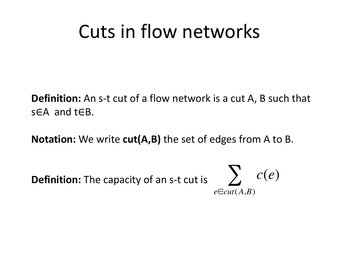#### Cuts in flow networks

**Definition:** An s-t cut of a flow network is a cut A, B such that s∈A and t∈B.

**Notation:** We write **cut(A,B)** the set of edges from A to B.

**Definition:** The capacity of an s-t cut is  $\sum C(e)$ 

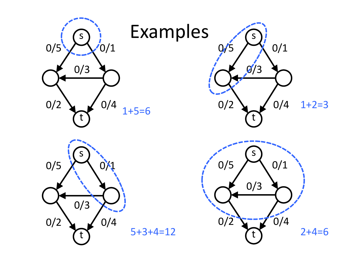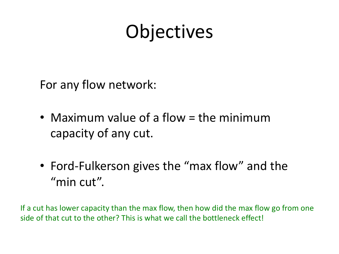# **Objectives**

For any flow network:

- Maximum value of a flow = the minimum capacity of any cut.
- Ford-Fulkerson gives the "max flow" and the "min cut".

If a cut has lower capacity than the max flow, then how did the max flow go from one side of that cut to the other? This is what we call the bottleneck effect!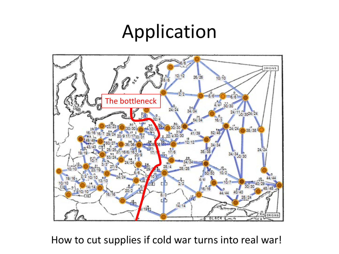#### Application



How to cut supplies if cold war turns into real war!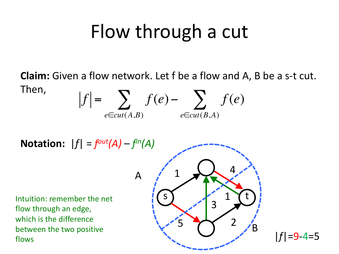## Flow through a cut

**Claim:** Given a flow network. Let f be a flow and A, B be a s-t cut. Then, *f* = *f* (*e*)− *f* (*e*) ∑ ∑

 $e \in \text{cut}(A,B)$   $e \in \text{cut}(B,A)$ 

Notation:  $|f| = f^{out}(A) - f^{in}(A)$ 

Intuition: remember the net flow through an edge, which is the difference between the two positive flows



|*f*|=9-4=5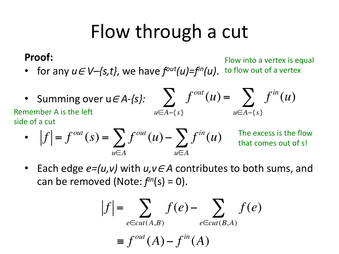## Flow through a cut

#### **Proof:**

• for any *u*<sup>∈</sup> *V–{s,t}*, we have *fout(u)=fin(u)*. to flow out of a vertex Flow into a vertex is equal

• Summing over  $u \in A - \{s\}: \sum f^{out}(u) = \sum f^{in}(u)$ *u*∈*A*−{*s*} *u*∈*A*−{*s*} Remember A is the left side of a cut

• 
$$
|f| = f^{out}(s) = \sum_{u \in A} f^{out}(u) - \sum_{u \in A} f^{in}(u)
$$

The excess is the flow that comes out of s!

• Each edge *e=(u,v)* with *u,v*<sup>∈</sup> *A* contributes to both sums, and can be removed (Note:  $f<sup>in</sup>(s) = 0$ ).

$$
|f| = \sum_{e \in cut(A,B)} f(e) - \sum_{e \in cut(B,A)} f(e)
$$
  

$$
\equiv f^{out}(A) - f^{in}(A)
$$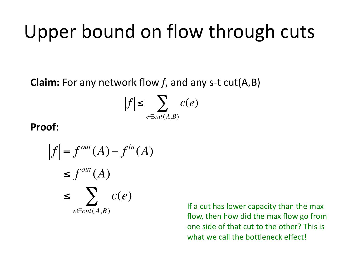## Upper bound on flow through cuts

**Claim:** For any network flow *f*, and any s-t cut(A,B)

$$
|f| \leq \sum_{e \in cut(A,B)} c(e)
$$

#### **Proof:**

$$
|f| = f^{out}(A) - f^{in}(A)
$$
  
\n
$$
\leq f^{out}(A)
$$
  
\n
$$
\leq \sum_{e \in cut(A,B)} c(e)
$$

If a cut has lower capacity than the max flow, then how did the max flow go from one side of that cut to the other? This is what we call the bottleneck effect!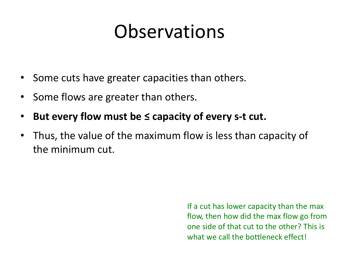### **Observations**

- Some cuts have greater capacities than others.
- Some flows are greater than others.
- But every flow must be ≤ capacity of every s-t cut.
- Thus, the value of the maximum flow is less than capacity of the minimum cut.

If a cut has lower capacity than the max flow, then how did the max flow go from one side of that cut to the other? This is what we call the bottleneck effect!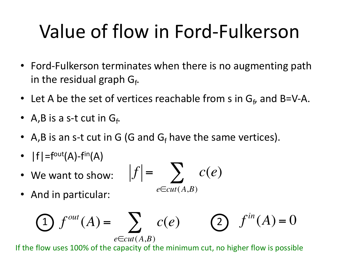# Value of flow in Ford-Fulkerson

- Ford-Fulkerson terminates when there is no augmenting path in the residual graph  $G_f$ .
- Let A be the set of vertices reachable from s in  $G_f$ , and B=V-A.
- A, B is a s-t cut in  $G_f$ .
- A,B is an s-t cut in G (G and  $G_f$  have the same vertices).
- $|f| = f^{\text{out}}(A) f^{\text{in}}(A)$
- We want to show:

• And in particular:

$$
|f| = \sum_{e \in cut(A,B)} c(e)
$$

$$
\bigodot f^{out}(A) = \sum_{e \in cut(A,B)} c(e) \qquad \bigodot f^{in}(A) = 0
$$

If the flow uses 100% of the capacity of the minimum cut, no higher flow is possible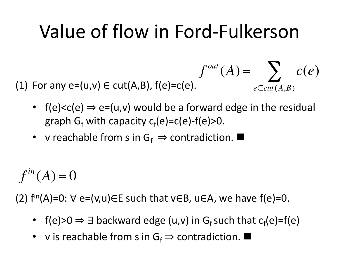# Value of flow in Ford-Fulkerson

(1) For any  $e=(u,v) \in \text{cut}(A,B)$ ,  $f(e)=c(e)$ .

•  $f(e) < c(e) \Rightarrow e = (u,v)$  would be a forward edge in the residual graph G<sub>f</sub> with capacity c<sub>f</sub>(e)=c(e)-f(e)>0.

 $f^{out}(A) = \sum c(e)$ 

 $e \in \text{cut}(A,B)$ 

• v reachable from s in  $G_f \Rightarrow$  contradiction.

 $f^{in}(A) = 0$ 

(2)  $f^{\text{in}}(A)=0$ :  $\forall$  e=(v,u) $\in$ E such that v $\in$ B, u $\in$ A, we have f(e)=0.

- f(e)>0  $\Rightarrow$  3 backward edge (u,v) in G<sub>f</sub> such that  $c_f(e)=f(e)$
- v is reachable from s in  $G_f \Rightarrow$  contradiction.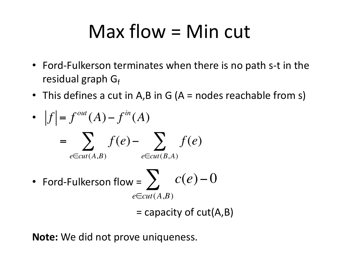## Max flow = Min cut

- Ford-Fulkerson terminates when there is no path s-t in the residual graph  $G_f$
- This defines a cut in A,B in G ( $A$  = nodes reachable from s)

• 
$$
|f| = f^{out}(A) - f^{in}(A)
$$
  
\n
$$
= \sum_{e \in cut(A,B)} f(e) - \sum_{e \in cut(B,A)} f(e)
$$
\n• Ford-Fulkerson flow =  $\sum_{e \in cut(A,B)} c(e) - 0$ 

 $=$  capacity of cut(A,B)

**Note:** We did not prove uniqueness.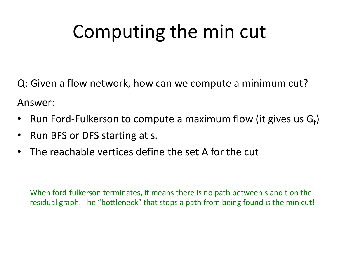# Computing the min cut

Q: Given a flow network, how can we compute a minimum cut?

Answer:

- Run Ford-Fulkerson to compute a maximum flow (it gives us  $G_f$ )
- Run BFS or DFS starting at s.
- The reachable vertices define the set A for the cut

When ford-fulkerson terminates, it means there is no path between s and t on the residual graph. The "bottleneck" that stops a path from being found is the min cut!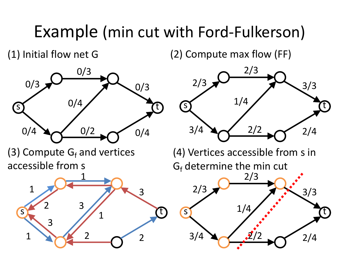#### Example (min cut with Ford-Fulkerson)

(1) Initial flow net G

(2) Compute max flow (FF)



(3) Compute  $G_f$  and vertices accessible from s





(4) Vertices accessible from s in  $G_f$  determine the min cut

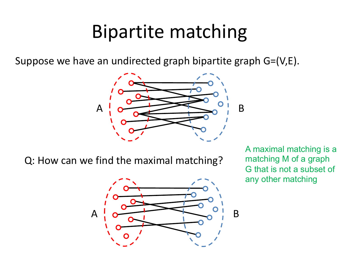#### Bipartite matching

Suppose we have an undirected graph bipartite graph G=(V,E).



Q: How can we find the maximal matching?



A maximal matching is a matching M of a graph G that is not a subset of any other matching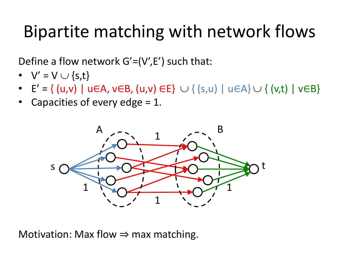#### Bipartite matching with network flows

Define a flow network  $G'=(V',E')$  such that:

- $V' = V \cup \{s,t\}$
- E' = { (u,v) | u∈A, v∈B, (u,v) ∈E}  $\cup$  { (s,u) | u∈A}  $\cup$  { (v,t) | v∈B}
- Capacities of every edge  $= 1$ .



Motivation: Max flow  $\Rightarrow$  max matching.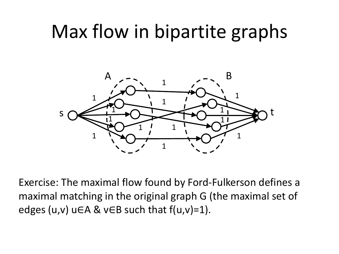#### Max flow in bipartite graphs



Exercise: The maximal flow found by Ford-Fulkerson defines a maximal matching in the original graph G (the maximal set of edges (u,v) u∈A & v∈B such that  $f(u,v)=1$ ).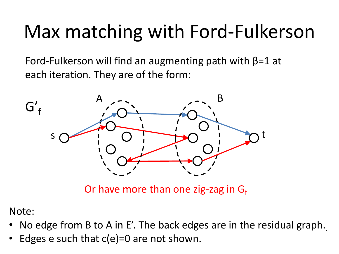# Max matching with Ford-Fulkerson

Ford-Fulkerson will find an augmenting path with  $\beta$ =1 at each iteration. They are of the form:



Or have more than one zig-zag in  $G_f$ 

Note:

- No edge from B to A in E'. The back edges are in the residual graph.
- Edges e such that  $c(e)=0$  are not shown.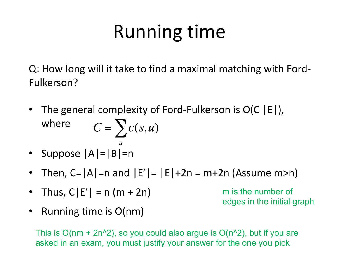# Running time

Q: How long will it take to find a maximal matching with Ford-Fulkerson?

- The general complexity of Ford-Fulkerson is O(C |E|), where  $C = \sum c(s, u)$
- Suppose |A|=|B|=n *u*
- Then,  $C=|A|=n$  and  $|E'|=|E|+2n=m+2n$  (Assume m>n)
- Thus,  $C|E'| = n (m + 2n)$

m is the number of edges in the initial graph

• Running time is O(nm)

This is  $O(nm + 2n^2)$ , so you could also argue is  $O(n^2)$ , but if you are asked in an exam, you must justify your answer for the one you pick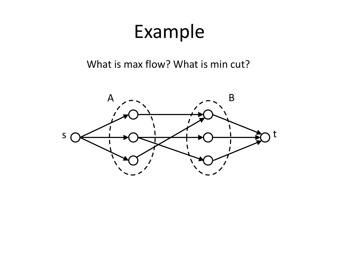What is max flow? What is min cut?

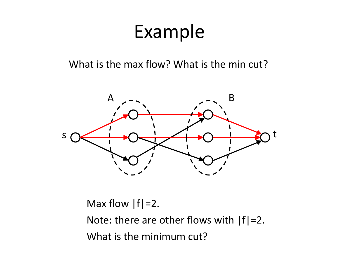What is the max flow? What is the min cut?



Max flow  $|f|=2$ .

Note: there are other flows with  $|f|=2$ . What is the minimum cut?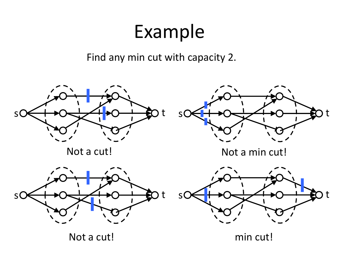Find any min cut with capacity 2.



Not a cut!

min cut!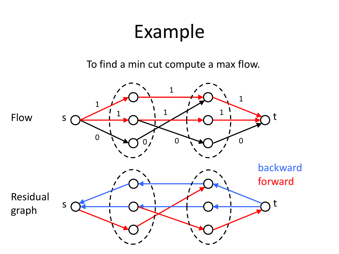To find a min cut compute a max flow.

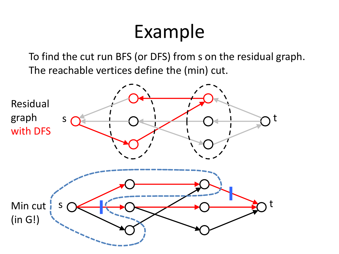To find the cut run BFS (or DFS) from s on the residual graph. The reachable vertices define the (min) cut.